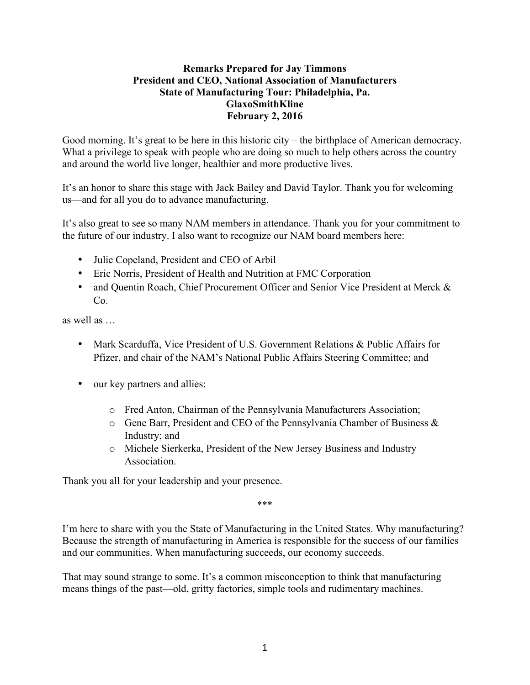## **Remarks Prepared for Jay Timmons President and CEO, National Association of Manufacturers State of Manufacturing Tour: Philadelphia, Pa. GlaxoSmithKline February 2, 2016**

Good morning. It's great to be here in this historic city – the birthplace of American democracy. What a privilege to speak with people who are doing so much to help others across the country and around the world live longer, healthier and more productive lives.

It's an honor to share this stage with Jack Bailey and David Taylor. Thank you for welcoming us—and for all you do to advance manufacturing.

It's also great to see so many NAM members in attendance. Thank you for your commitment to the future of our industry. I also want to recognize our NAM board members here:

- Julie Copeland, President and CEO of Arbil
- Eric Norris, President of Health and Nutrition at FMC Corporation
- and Quentin Roach, Chief Procurement Officer and Senior Vice President at Merck & Co.

as well as …

- Mark Scarduffa, Vice President of U.S. Government Relations & Public Affairs for Pfizer, and chair of the NAM's National Public Affairs Steering Committee; and
- our key partners and allies:
	- o Fred Anton, Chairman of the Pennsylvania Manufacturers Association;
	- o Gene Barr, President and CEO of the Pennsylvania Chamber of Business & Industry; and
	- o Michele Sierkerka, President of the New Jersey Business and Industry Association.

Thank you all for your leadership and your presence.

\*\*\*

I'm here to share with you the State of Manufacturing in the United States. Why manufacturing? Because the strength of manufacturing in America is responsible for the success of our families and our communities. When manufacturing succeeds, our economy succeeds.

That may sound strange to some. It's a common misconception to think that manufacturing means things of the past—old, gritty factories, simple tools and rudimentary machines.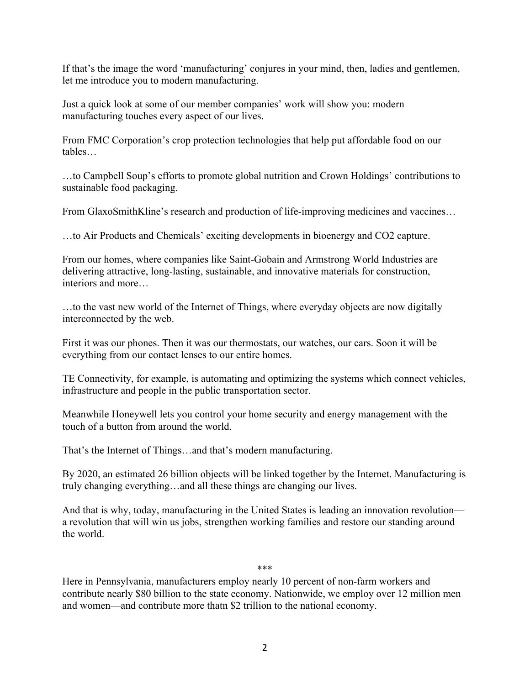If that's the image the word 'manufacturing' conjures in your mind, then, ladies and gentlemen, let me introduce you to modern manufacturing.

Just a quick look at some of our member companies' work will show you: modern manufacturing touches every aspect of our lives.

From FMC Corporation's crop protection technologies that help put affordable food on our tables…

…to Campbell Soup's efforts to promote global nutrition and Crown Holdings' contributions to sustainable food packaging.

From GlaxoSmithKline's research and production of life-improving medicines and vaccines…

…to Air Products and Chemicals' exciting developments in bioenergy and CO2 capture.

From our homes, where companies like Saint-Gobain and Armstrong World Industries are delivering attractive, long-lasting, sustainable, and innovative materials for construction, interiors and more…

…to the vast new world of the Internet of Things, where everyday objects are now digitally interconnected by the web.

First it was our phones. Then it was our thermostats, our watches, our cars. Soon it will be everything from our contact lenses to our entire homes.

TE Connectivity, for example, is automating and optimizing the systems which connect vehicles, infrastructure and people in the public transportation sector.

Meanwhile Honeywell lets you control your home security and energy management with the touch of a button from around the world.

That's the Internet of Things…and that's modern manufacturing.

By 2020, an estimated 26 billion objects will be linked together by the Internet. Manufacturing is truly changing everything…and all these things are changing our lives.

And that is why, today, manufacturing in the United States is leading an innovation revolution a revolution that will win us jobs, strengthen working families and restore our standing around the world.

## \*\*\*

Here in Pennsylvania, manufacturers employ nearly 10 percent of non-farm workers and contribute nearly \$80 billion to the state economy. Nationwide, we employ over 12 million men and women—and contribute more thatn \$2 trillion to the national economy.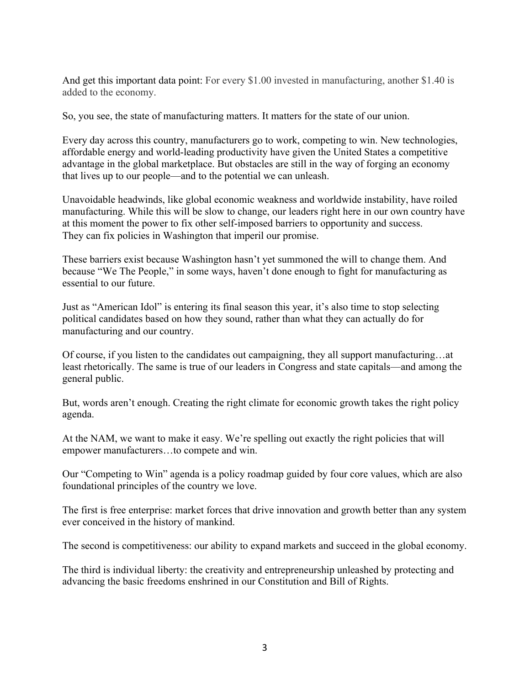And get this important data point: For every \$1.00 invested in manufacturing, another \$1.40 is added to the economy.

So, you see, the state of manufacturing matters. It matters for the state of our union.

Every day across this country, manufacturers go to work, competing to win. New technologies, affordable energy and world-leading productivity have given the United States a competitive advantage in the global marketplace. But obstacles are still in the way of forging an economy that lives up to our people—and to the potential we can unleash.

Unavoidable headwinds, like global economic weakness and worldwide instability, have roiled manufacturing. While this will be slow to change, our leaders right here in our own country have at this moment the power to fix other self-imposed barriers to opportunity and success. They can fix policies in Washington that imperil our promise.

These barriers exist because Washington hasn't yet summoned the will to change them. And because "We The People," in some ways, haven't done enough to fight for manufacturing as essential to our future.

Just as "American Idol" is entering its final season this year, it's also time to stop selecting political candidates based on how they sound, rather than what they can actually do for manufacturing and our country.

Of course, if you listen to the candidates out campaigning, they all support manufacturing…at least rhetorically. The same is true of our leaders in Congress and state capitals—and among the general public.

But, words aren't enough. Creating the right climate for economic growth takes the right policy agenda.

At the NAM, we want to make it easy. We're spelling out exactly the right policies that will empower manufacturers…to compete and win.

Our "Competing to Win" agenda is a policy roadmap guided by four core values, which are also foundational principles of the country we love.

The first is free enterprise: market forces that drive innovation and growth better than any system ever conceived in the history of mankind.

The second is competitiveness: our ability to expand markets and succeed in the global economy.

The third is individual liberty: the creativity and entrepreneurship unleashed by protecting and advancing the basic freedoms enshrined in our Constitution and Bill of Rights.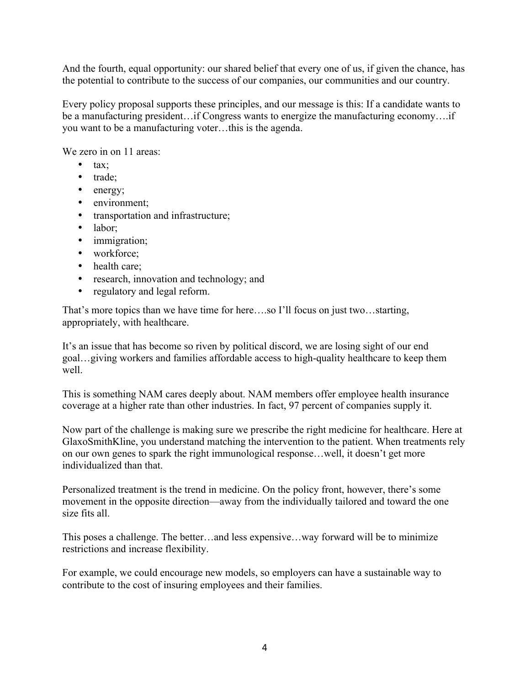And the fourth, equal opportunity: our shared belief that every one of us, if given the chance, has the potential to contribute to the success of our companies, our communities and our country.

Every policy proposal supports these principles, and our message is this: If a candidate wants to be a manufacturing president…if Congress wants to energize the manufacturing economy….if you want to be a manufacturing voter…this is the agenda.

We zero in on 11 areas:

- tax;
- trade;
- energy;
- environment:
- transportation and infrastructure;
- labor;
- immigration;
- workforce:
- health care;
- research, innovation and technology; and
- regulatory and legal reform.

That's more topics than we have time for here….so I'll focus on just two…starting, appropriately, with healthcare.

It's an issue that has become so riven by political discord, we are losing sight of our end goal…giving workers and families affordable access to high-quality healthcare to keep them well.

This is something NAM cares deeply about. NAM members offer employee health insurance coverage at a higher rate than other industries. In fact, 97 percent of companies supply it.

Now part of the challenge is making sure we prescribe the right medicine for healthcare. Here at GlaxoSmithKline, you understand matching the intervention to the patient. When treatments rely on our own genes to spark the right immunological response…well, it doesn't get more individualized than that.

Personalized treatment is the trend in medicine. On the policy front, however, there's some movement in the opposite direction—away from the individually tailored and toward the one size fits all.

This poses a challenge. The better…and less expensive…way forward will be to minimize restrictions and increase flexibility.

For example, we could encourage new models, so employers can have a sustainable way to contribute to the cost of insuring employees and their families.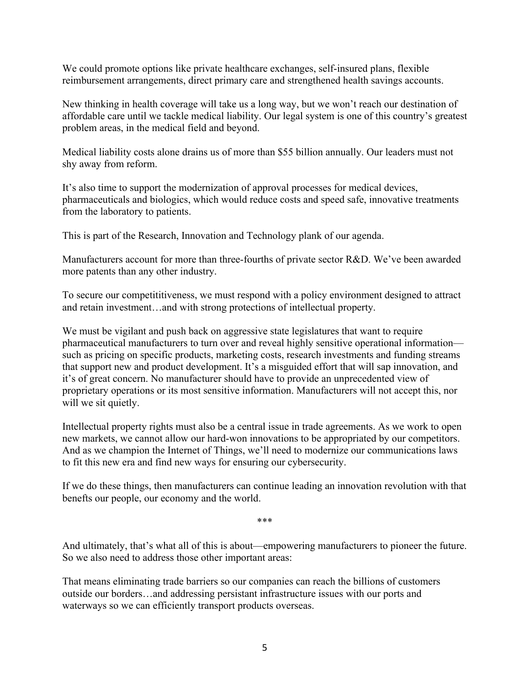We could promote options like private healthcare exchanges, self-insured plans, flexible reimbursement arrangements, direct primary care and strengthened health savings accounts.

New thinking in health coverage will take us a long way, but we won't reach our destination of affordable care until we tackle medical liability. Our legal system is one of this country's greatest problem areas, in the medical field and beyond.

Medical liability costs alone drains us of more than \$55 billion annually. Our leaders must not shy away from reform.

It's also time to support the modernization of approval processes for medical devices, pharmaceuticals and biologics, which would reduce costs and speed safe, innovative treatments from the laboratory to patients.

This is part of the Research, Innovation and Technology plank of our agenda.

Manufacturers account for more than three-fourths of private sector R&D. We've been awarded more patents than any other industry.

To secure our competititiveness, we must respond with a policy environment designed to attract and retain investment…and with strong protections of intellectual property.

We must be vigilant and push back on aggressive state legislatures that want to require pharmaceutical manufacturers to turn over and reveal highly sensitive operational information such as pricing on specific products, marketing costs, research investments and funding streams that support new and product development. It's a misguided effort that will sap innovation, and it's of great concern. No manufacturer should have to provide an unprecedented view of proprietary operations or its most sensitive information. Manufacturers will not accept this, nor will we sit quietly.

Intellectual property rights must also be a central issue in trade agreements. As we work to open new markets, we cannot allow our hard-won innovations to be appropriated by our competitors. And as we champion the Internet of Things, we'll need to modernize our communications laws to fit this new era and find new ways for ensuring our cybersecurity.

If we do these things, then manufacturers can continue leading an innovation revolution with that benefts our people, our economy and the world.

\*\*\*

And ultimately, that's what all of this is about—empowering manufacturers to pioneer the future. So we also need to address those other important areas:

That means eliminating trade barriers so our companies can reach the billions of customers outside our borders…and addressing persistant infrastructure issues with our ports and waterways so we can efficiently transport products overseas.